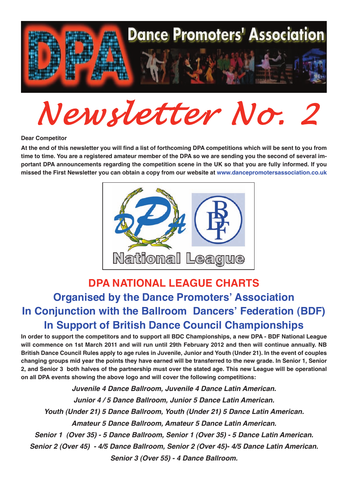

*Newsletter No. 2*

#### **Dear Competitor**

At the end of this newsletter you will find a list of forthcoming DPA competitions which will be sent to you from time to time. You are a registered amateur member of the DPA so we are sending you the second of several important DPA announcements regarding the competition scene in the UK so that you are fully informed. If you **missed the First Newsletter you can obtain <sup>a</sup> copy from our website at <www.dancepromotersassociation.co.uk>**



## **DPA NATIONAL LEAGUE CHARTS Organised by the Dance Promoters' Association In Conjunction with the Ballroom Dancers' Federation (BDF) In Support of British Dance Council Championships**

In order to support the competitors and to support all BDC Championships, a new DPA - BDF National League will commence on 1st March 2011 and will run until 29th February 2012 and then will continue annually. NB British Dance Council Rules apply to age rules in Juvenile, Junior and Youth (Under 21). In the event of couples changing groups mid year the points they have earned will be transferred to the new grade. In Senior 1, Senior 2. and Senior 3 both halves of the partnership must over the stated age. This new League will be operational **on all DPA events showing the above logo and will cover the following competitions:**

*Juvenile 4 Dance Ballroom, Juvenile 4 Dance Latin American. Junior 4 / 5 Dance Ballroom, Junior 5 Dance Latin American. Youth (Under 21) 5 Dance Ballroom, Youth (Under 21) 5 Dance Latin American. Amateur 5 Dance Ballroom, Amateur 5 Dance Latin American. Senior 1 (Over 35) - 5 Dance Ballroom, Senior 1 (Over 35) - 5 Dance Latin American. Senior 2 (Over 45) - 4/5 Dance Ballroom, Senior 2 (Over 45)- 4/5 Dance Latin American. Senior 3 (Over 55) - 4 Dance Ballroom.*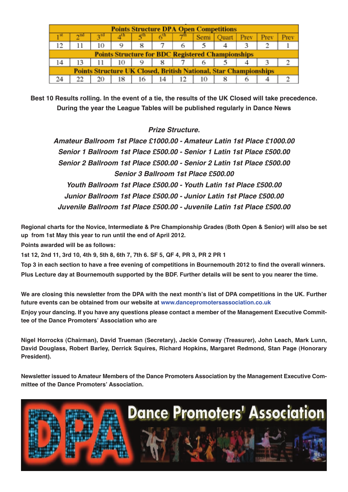| <b>Points Structure DPA Open Competitions</b>                           |  |     |        |             |    |    |      |              |  |      |  |
|-------------------------------------------------------------------------|--|-----|--------|-------------|----|----|------|--------------|--|------|--|
|                                                                         |  |     |        | $\leqslant$ | 69 |    | Semi | Quart   Prev |  | Prev |  |
| 12.                                                                     |  | 10  | 9      | 8           |    | o  |      |              |  |      |  |
| <b>Points Structure for BDC Registered Championships</b>                |  |     |        |             |    |    |      |              |  |      |  |
| 14                                                                      |  | 11  | 10   9 |             | 8  |    | o    |              |  |      |  |
| <b>Points Structure UK Closed, British National, Star Championships</b> |  |     |        |             |    |    |      |              |  |      |  |
|                                                                         |  | 20. | 18     | 16          | 14 | 12 | 10   |              |  |      |  |

Best 10 Results rolling. In the event of a tie, the results of the UK Closed will take precedence. **During the year the League Tables will be published regularly in Dance News**

#### *Prize Structure.*

*Amateur Ballroom 1st Place £1000.00 - Amateur Latin 1st Place £1000.00 Senior 1 Ballroom 1st Place £500.00 - Senior 1 Latin 1st Place £500.00 Senior 2 Ballroom 1st Place £500.00 - Senior 2 Latin 1st Place £500.00 Senior 3 Ballroom 1st Place £500.00 Youth Ballroom 1st Place £500.00 - Youth Latin 1st Place £500.00 Junior Ballroom 1st Place £500.00 - Junior Latin 1st Place £500.00 Juvenile Ballroom 1st Place £500.00 - Juvenile Latin 1st Place £500.00*

Regional charts for the Novice, Intermediate & Pre Championship Grades (Both Open & Senior) will also be set **up from 1st May this year to run until the end of April 2012.**

**Points awarded will be as follows:**

1st 12, 2nd 11, 3rd 10, 4th 9, 5th 8, 6th 7, 7th 6. SF 5, QF 4, PR 3, PR 2 PR 1

Top 3 in each section to have a free evening of competitions in Bournemouth 2012 to find the overall winners. Plus Lecture day at Bournemouth supported by the BDF. Further details will be sent to you nearer the time.

We are closing this newsletter from the DPA with the next month's list of DPA competitions in the UK. Further **future events can be obtained from our website at <www.dancepromotersassociation.co.uk>**

Enjoy your dancing. If you have any questions please contact a member of the Management Executive Commit**tee of the Dance Promoters' Association who are**

**Nigel Horrocks (Chairman), David Trueman (Secretary), Jackie Conway (Treasurer), John Leach, Mark Lunn, David Douglass, Robert Barley, Derrick Squires, Richard Hopkins, Margaret Redmond, Stan Page (Honorary President).**

**Newsletter issued to Amateur Members of the Dance Promoters Association by the Management Executive Committee of the Dance Promoters' Association.**